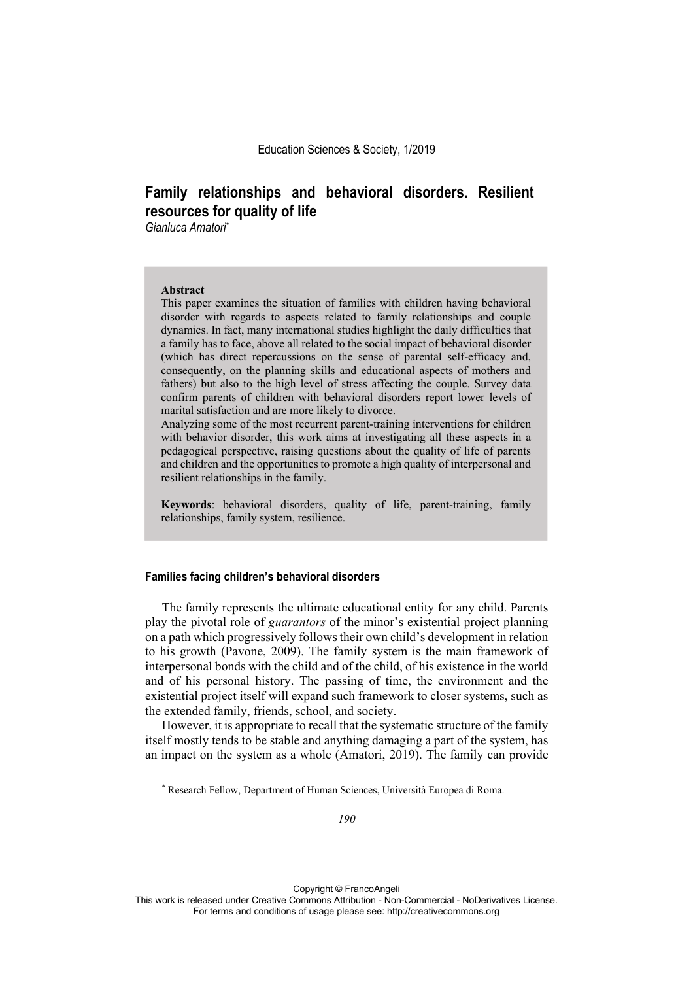# **Family relationships and behavioral disorders. Resilient resources for quality of life**

*Gianluca Amatori\**

#### **Abstract**

This paper examines the situation of families with children having behavioral disorder with regards to aspects related to family relationships and couple dynamics. In fact, many international studies highlight the daily difficulties that a family has to face, above all related to the social impact of behavioral disorder (which has direct repercussions on the sense of parental self-efficacy and, consequently, on the planning skills and educational aspects of mothers and fathers) but also to the high level of stress affecting the couple. Survey data confirm parents of children with behavioral disorders report lower levels of marital satisfaction and are more likely to divorce.

Analyzing some of the most recurrent parent-training interventions for children with behavior disorder, this work aims at investigating all these aspects in a pedagogical perspective, raising questions about the quality of life of parents and children and the opportunities to promote a high quality of interpersonal and resilient relationships in the family.

**Keywords**: behavioral disorders, quality of life, parent-training, family relationships, family system, resilience.

### **Families facing children's behavioral disorders**

The family represents the ultimate educational entity for any child. Parents play the pivotal role of *guarantors* of the minor's existential project planning on a path which progressively follows their own child's development in relation to his growth (Pavone, 2009). The family system is the main framework of interpersonal bonds with the child and of the child, of his existence in the world and of his personal history. The passing of time, the environment and the existential project itself will expand such framework to closer systems, such as the extended family, friends, school, and society.

However, it is appropriate to recall that the systematic structure of the family itself mostly tends to be stable and anything damaging a part of the system, has an impact on the system as a whole (Amatori, 2019). The family can provide

\* Research Fellow, Department of Human Sciences, Università Europea di Roma.

Copyright © FrancoAngeli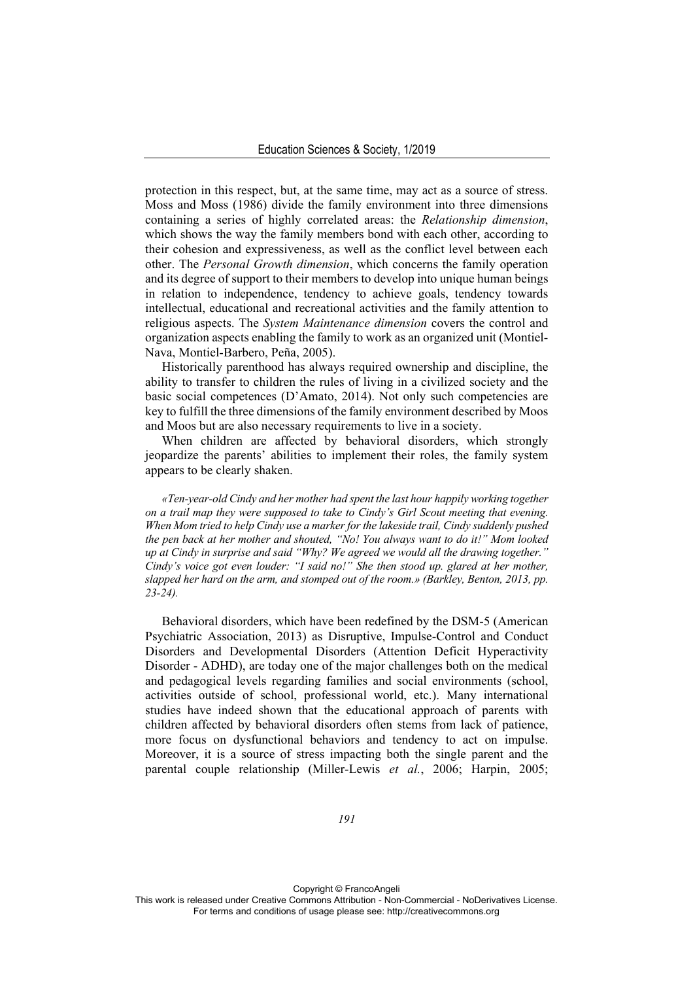protection in this respect, but, at the same time, may act as a source of stress. Moss and Moss (1986) divide the family environment into three dimensions containing a series of highly correlated areas: the *Relationship dimension*, which shows the way the family members bond with each other, according to their cohesion and expressiveness, as well as the conflict level between each other. The *Personal Growth dimension*, which concerns the family operation and its degree of support to their members to develop into unique human beings in relation to independence, tendency to achieve goals, tendency towards intellectual, educational and recreational activities and the family attention to religious aspects. The *System Maintenance dimension* covers the control and organization aspects enabling the family to work as an organized unit (Montiel-Nava, Montiel-Barbero, Peña, 2005).

Historically parenthood has always required ownership and discipline, the ability to transfer to children the rules of living in a civilized society and the basic social competences (D'Amato, 2014). Not only such competencies are key to fulfill the three dimensions of the family environment described by Moos and Moos but are also necessary requirements to live in a society.

When children are affected by behavioral disorders, which strongly jeopardize the parents' abilities to implement their roles, the family system appears to be clearly shaken.

*«Ten-year-old Cindy and her mother had spent the last hour happily working together on a trail map they were supposed to take to Cindy's Girl Scout meeting that evening. When Mom tried to help Cindy use a marker for the lakeside trail, Cindy suddenly pushed the pen back at her mother and shouted, "No! You always want to do it!" Mom looked up at Cindy in surprise and said "Why? We agreed we would all the drawing together." Cindy's voice got even louder: "I said no!" She then stood up. glared at her mother, slapped her hard on the arm, and stomped out of the room.» (Barkley, Benton, 2013, pp. 23-24).* 

Behavioral disorders, which have been redefined by the DSM-5 (American Psychiatric Association, 2013) as Disruptive, Impulse-Control and Conduct Disorders and Developmental Disorders (Attention Deficit Hyperactivity Disorder - ADHD), are today one of the major challenges both on the medical and pedagogical levels regarding families and social environments (school, activities outside of school, professional world, etc.). Many international studies have indeed shown that the educational approach of parents with children affected by behavioral disorders often stems from lack of patience, more focus on dysfunctional behaviors and tendency to act on impulse. Moreover, it is a source of stress impacting both the single parent and the parental couple relationship (Miller-Lewis *et al.*, 2006; Harpin, 2005;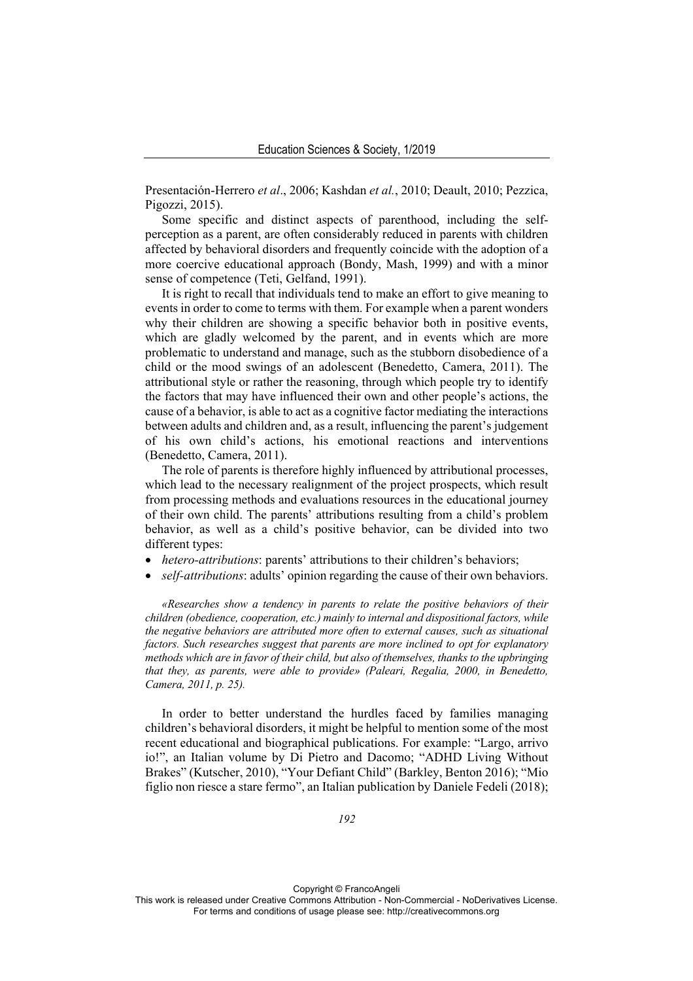Presentación-Herrero *et al*., 2006; Kashdan *et al.*, 2010; Deault, 2010; Pezzica, Pigozzi, 2015).

Some specific and distinct aspects of parenthood, including the selfperception as a parent, are often considerably reduced in parents with children affected by behavioral disorders and frequently coincide with the adoption of a more coercive educational approach (Bondy, Mash, 1999) and with a minor sense of competence (Teti, Gelfand, 1991).

It is right to recall that individuals tend to make an effort to give meaning to events in order to come to terms with them. For example when a parent wonders why their children are showing a specific behavior both in positive events, which are gladly welcomed by the parent, and in events which are more problematic to understand and manage, such as the stubborn disobedience of a child or the mood swings of an adolescent (Benedetto, Camera, 2011). The attributional style or rather the reasoning, through which people try to identify the factors that may have influenced their own and other people's actions, the cause of a behavior, is able to act as a cognitive factor mediating the interactions between adults and children and, as a result, influencing the parent's judgement of his own child's actions, his emotional reactions and interventions (Benedetto, Camera, 2011).

The role of parents is therefore highly influenced by attributional processes, which lead to the necessary realignment of the project prospects, which result from processing methods and evaluations resources in the educational journey of their own child. The parents' attributions resulting from a child's problem behavior, as well as a child's positive behavior, can be divided into two different types:

- *hetero-attributions*: parents' attributions to their children's behaviors;
- *self-attributions*: adults' opinion regarding the cause of their own behaviors.

*«Researches show a tendency in parents to relate the positive behaviors of their children (obedience, cooperation, etc.) mainly to internal and dispositional factors, while the negative behaviors are attributed more often to external causes, such as situational factors. Such researches suggest that parents are more inclined to opt for explanatory methods which are in favor of their child, but also of themselves, thanks to the upbringing that they, as parents, were able to provide» (Paleari, Regalia, 2000, in Benedetto, Camera, 2011, p. 25).* 

In order to better understand the hurdles faced by families managing children's behavioral disorders, it might be helpful to mention some of the most recent educational and biographical publications. For example: "Largo, arrivo io!", an Italian volume by Di Pietro and Dacomo; "ADHD Living Without Brakes" (Kutscher, 2010), "Your Defiant Child" (Barkley, Benton 2016); "Mio figlio non riesce a stare fermo", an Italian publication by Daniele Fedeli (2018);

Copyright © FrancoAngeli This work is released under Creative Commons Attribution - Non-Commercial - NoDerivatives License. For terms and conditions of usage please see: http://creativecommons.org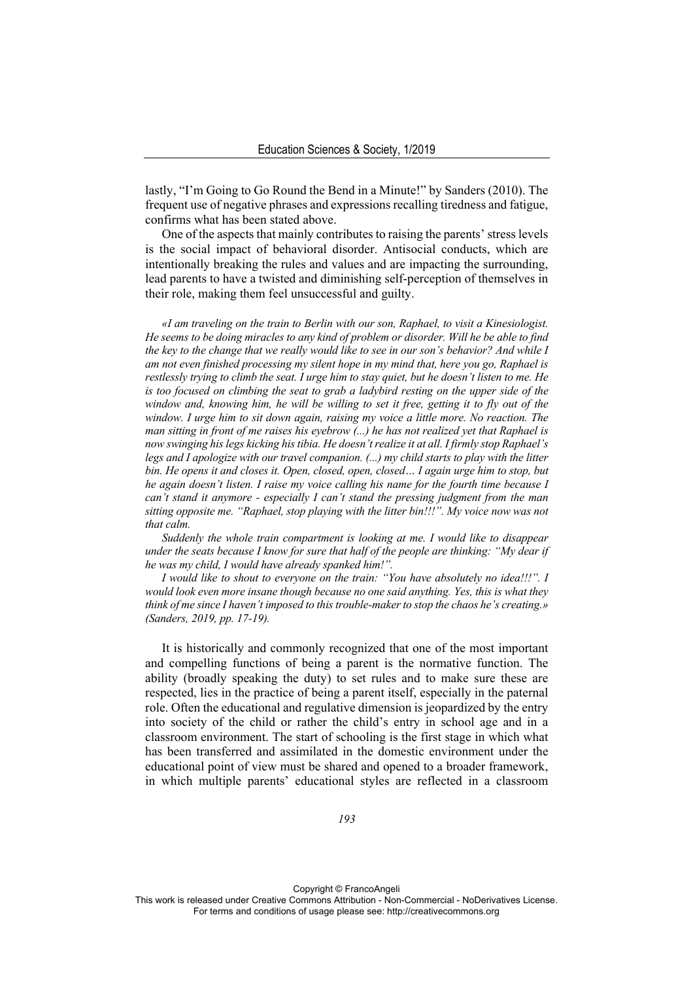lastly, "I'm Going to Go Round the Bend in a Minute!" by Sanders (2010). The frequent use of negative phrases and expressions recalling tiredness and fatigue, confirms what has been stated above.

One of the aspects that mainly contributes to raising the parents' stress levels is the social impact of behavioral disorder. Antisocial conducts, which are intentionally breaking the rules and values and are impacting the surrounding, lead parents to have a twisted and diminishing self-perception of themselves in their role, making them feel unsuccessful and guilty.

*«I am traveling on the train to Berlin with our son, Raphael, to visit a Kinesiologist. He seems to be doing miracles to any kind of problem or disorder. Will he be able to find the key to the change that we really would like to see in our son's behavior? And while I am not even finished processing my silent hope in my mind that, here you go, Raphael is restlessly trying to climb the seat. I urge him to stay quiet, but he doesn't listen to me. He is too focused on climbing the seat to grab a ladybird resting on the upper side of the window and, knowing him, he will be willing to set it free, getting it to fly out of the window. I urge him to sit down again, raising my voice a little more. No reaction. The man sitting in front of me raises his eyebrow (...) he has not realized yet that Raphael is now swinging his legs kicking his tibia. He doesn't realize it at all. I firmly stop Raphael's legs and I apologize with our travel companion. (...) my child starts to play with the litter bin. He opens it and closes it. Open, closed, open, closed… I again urge him to stop, but he again doesn't listen. I raise my voice calling his name for the fourth time because I can't stand it anymore - especially I can't stand the pressing judgment from the man sitting opposite me. "Raphael, stop playing with the litter bin!!!". My voice now was not that calm.* 

*Suddenly the whole train compartment is looking at me. I would like to disappear under the seats because I know for sure that half of the people are thinking: "My dear if he was my child, I would have already spanked him!".* 

*I would like to shout to everyone on the train: "You have absolutely no idea!!!". I would look even more insane though because no one said anything. Yes, this is what they think of me since I haven't imposed to this trouble-maker to stop the chaos he's creating.» (Sanders, 2019, pp. 17-19).* 

It is historically and commonly recognized that one of the most important and compelling functions of being a parent is the normative function. The ability (broadly speaking the duty) to set rules and to make sure these are respected, lies in the practice of being a parent itself, especially in the paternal role. Often the educational and regulative dimension is jeopardized by the entry into society of the child or rather the child's entry in school age and in a classroom environment. The start of schooling is the first stage in which what has been transferred and assimilated in the domestic environment under the educational point of view must be shared and opened to a broader framework, in which multiple parents' educational styles are reflected in a classroom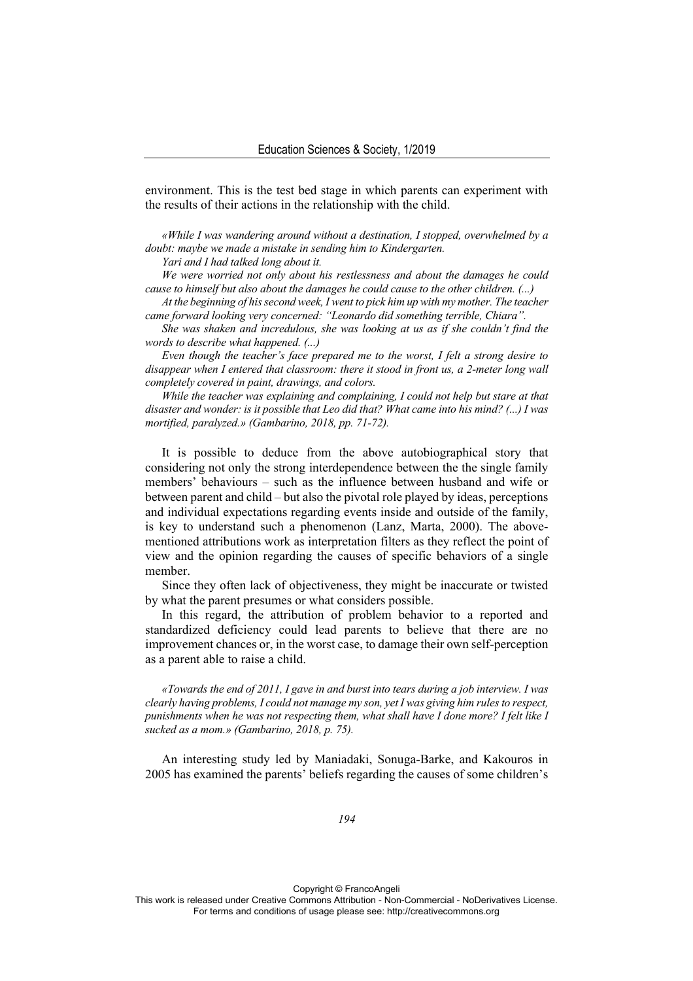environment. This is the test bed stage in which parents can experiment with the results of their actions in the relationship with the child.

*«While I was wandering around without a destination, I stopped, overwhelmed by a doubt: maybe we made a mistake in sending him to Kindergarten.* 

*Yari and I had talked long about it.* 

*We were worried not only about his restlessness and about the damages he could cause to himself but also about the damages he could cause to the other children. (...)* 

*At the beginning of his second week, I went to pick him up with my mother. The teacher came forward looking very concerned: "Leonardo did something terrible, Chiara".* 

*She was shaken and incredulous, she was looking at us as if she couldn't find the words to describe what happened. (...)* 

*Even though the teacher's face prepared me to the worst, I felt a strong desire to disappear when I entered that classroom: there it stood in front us, a 2-meter long wall completely covered in paint, drawings, and colors.* 

*While the teacher was explaining and complaining, I could not help but stare at that disaster and wonder: is it possible that Leo did that? What came into his mind? (...) I was mortified, paralyzed.» (Gambarino, 2018, pp. 71-72).* 

It is possible to deduce from the above autobiographical story that considering not only the strong interdependence between the the single family members' behaviours – such as the influence between husband and wife or between parent and child – but also the pivotal role played by ideas, perceptions and individual expectations regarding events inside and outside of the family, is key to understand such a phenomenon (Lanz, Marta, 2000). The abovementioned attributions work as interpretation filters as they reflect the point of view and the opinion regarding the causes of specific behaviors of a single member.

Since they often lack of objectiveness, they might be inaccurate or twisted by what the parent presumes or what considers possible.

In this regard, the attribution of problem behavior to a reported and standardized deficiency could lead parents to believe that there are no improvement chances or, in the worst case, to damage their own self-perception as a parent able to raise a child.

*«Towards the end of 2011, I gave in and burst into tears during a job interview. I was clearly having problems, I could not manage my son, yet I was giving him rules to respect, punishments when he was not respecting them, what shall have I done more? I felt like I sucked as a mom.» (Gambarino, 2018, p. 75).* 

An interesting study led by Maniadaki, Sonuga-Barke, and Kakouros in 2005 has examined the parents' beliefs regarding the causes of some children's

Copyright © FrancoAngeli This work is released under Creative Commons Attribution - Non-Commercial - NoDerivatives License.

For terms and conditions of usage please see: http://creativecommons.org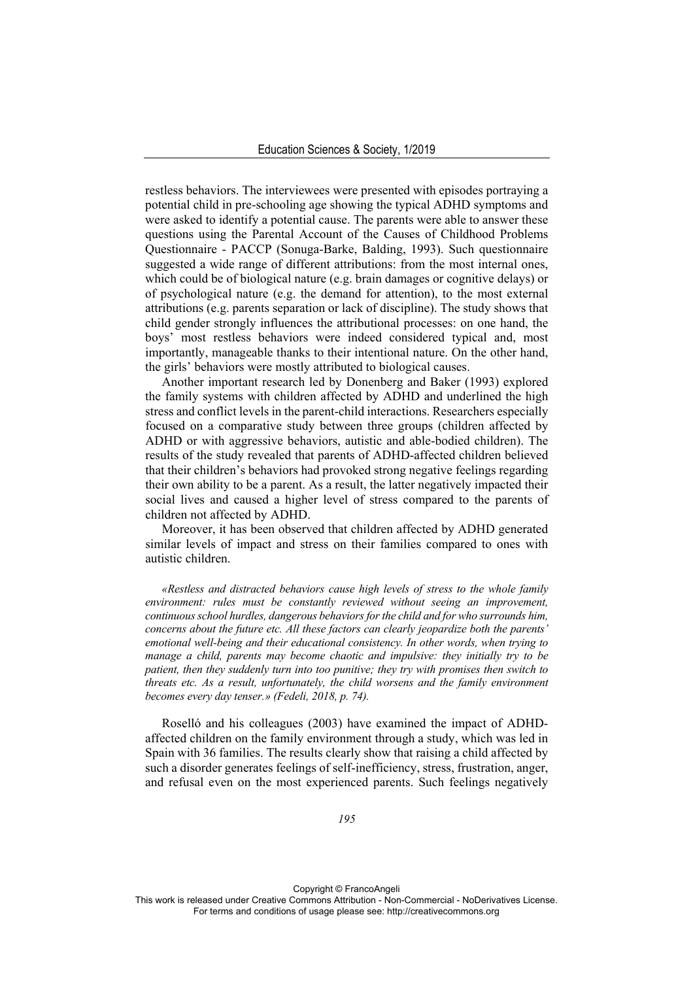restless behaviors. The interviewees were presented with episodes portraying a potential child in pre-schooling age showing the typical ADHD symptoms and were asked to identify a potential cause. The parents were able to answer these questions using the Parental Account of the Causes of Childhood Problems Questionnaire - PACCP (Sonuga-Barke, Balding, 1993). Such questionnaire suggested a wide range of different attributions: from the most internal ones, which could be of biological nature (e.g. brain damages or cognitive delays) or of psychological nature (e.g. the demand for attention), to the most external attributions (e.g. parents separation or lack of discipline). The study shows that child gender strongly influences the attributional processes: on one hand, the boys' most restless behaviors were indeed considered typical and, most importantly, manageable thanks to their intentional nature. On the other hand, the girls' behaviors were mostly attributed to biological causes.

Another important research led by Donenberg and Baker (1993) explored the family systems with children affected by ADHD and underlined the high stress and conflict levels in the parent-child interactions. Researchers especially focused on a comparative study between three groups (children affected by ADHD or with aggressive behaviors, autistic and able-bodied children). The results of the study revealed that parents of ADHD-affected children believed that their children's behaviors had provoked strong negative feelings regarding their own ability to be a parent. As a result, the latter negatively impacted their social lives and caused a higher level of stress compared to the parents of children not affected by ADHD.

Moreover, it has been observed that children affected by ADHD generated similar levels of impact and stress on their families compared to ones with autistic children.

*«Restless and distracted behaviors cause high levels of stress to the whole family environment: rules must be constantly reviewed without seeing an improvement, continuous school hurdles, dangerous behaviors for the child and for who surrounds him, concerns about the future etc. All these factors can clearly jeopardize both the parents' emotional well-being and their educational consistency. In other words, when trying to manage a child, parents may become chaotic and impulsive: they initially try to be patient, then they suddenly turn into too punitive; they try with promises then switch to threats etc. As a result, unfortunately, the child worsens and the family environment becomes every day tenser.» (Fedeli, 2018, p. 74).* 

Roselló and his colleagues (2003) have examined the impact of ADHDaffected children on the family environment through a study, which was led in Spain with 36 families. The results clearly show that raising a child affected by such a disorder generates feelings of self-inefficiency, stress, frustration, anger, and refusal even on the most experienced parents. Such feelings negatively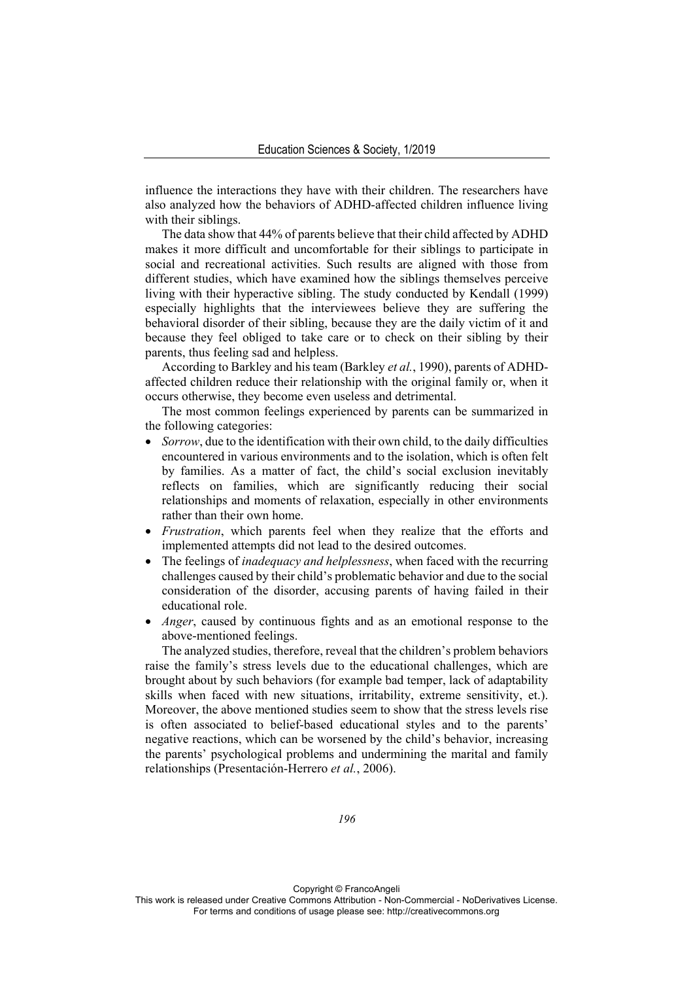influence the interactions they have with their children. The researchers have also analyzed how the behaviors of ADHD-affected children influence living with their siblings.

The data show that 44% of parents believe that their child affected by ADHD makes it more difficult and uncomfortable for their siblings to participate in social and recreational activities. Such results are aligned with those from different studies, which have examined how the siblings themselves perceive living with their hyperactive sibling. The study conducted by Kendall (1999) especially highlights that the interviewees believe they are suffering the behavioral disorder of their sibling, because they are the daily victim of it and because they feel obliged to take care or to check on their sibling by their parents, thus feeling sad and helpless.

According to Barkley and his team (Barkley *et al.*, 1990), parents of ADHDaffected children reduce their relationship with the original family or, when it occurs otherwise, they become even useless and detrimental.

The most common feelings experienced by parents can be summarized in the following categories:

- *Sorrow*, due to the identification with their own child, to the daily difficulties encountered in various environments and to the isolation, which is often felt by families. As a matter of fact, the child's social exclusion inevitably reflects on families, which are significantly reducing their social relationships and moments of relaxation, especially in other environments rather than their own home.
- *Frustration*, which parents feel when they realize that the efforts and implemented attempts did not lead to the desired outcomes.
- The feelings of *inadequacy and helplessness*, when faced with the recurring challenges caused by their child's problematic behavior and due to the social consideration of the disorder, accusing parents of having failed in their educational role.
- *Anger*, caused by continuous fights and as an emotional response to the above-mentioned feelings.

The analyzed studies, therefore, reveal that the children's problem behaviors raise the family's stress levels due to the educational challenges, which are brought about by such behaviors (for example bad temper, lack of adaptability skills when faced with new situations, irritability, extreme sensitivity, et.). Moreover, the above mentioned studies seem to show that the stress levels rise is often associated to belief-based educational styles and to the parents' negative reactions, which can be worsened by the child's behavior, increasing the parents' psychological problems and undermining the marital and family relationships (Presentación-Herrero *et al.*, 2006).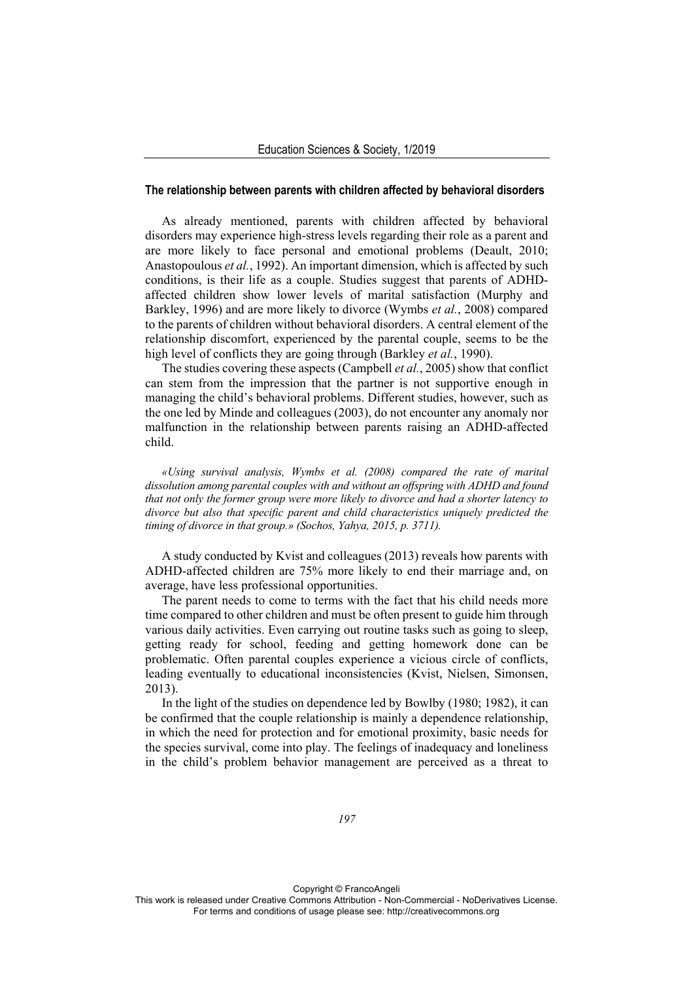#### **The relationship between parents with children affected by behavioral disorders**

As already mentioned, parents with children affected by behavioral disorders may experience high-stress levels regarding their role as a parent and are more likely to face personal and emotional problems (Deault, 2010; Anastopoulous *et al.*, 1992). An important dimension, which is affected by such conditions, is their life as a couple. Studies suggest that parents of ADHDaffected children show lower levels of marital satisfaction (Murphy and Barkley, 1996) and are more likely to divorce (Wymbs *et al.*, 2008) compared to the parents of children without behavioral disorders. A central element of the relationship discomfort, experienced by the parental couple, seems to be the high level of conflicts they are going through (Barkley *et al.*, 1990).

The studies covering these aspects (Campbell *et al.*, 2005) show that conflict can stem from the impression that the partner is not supportive enough in managing the child's behavioral problems. Different studies, however, such as the one led by Minde and colleagues (2003), do not encounter any anomaly nor malfunction in the relationship between parents raising an ADHD-affected child.

*«Using survival analysis, Wymbs et al. (2008) compared the rate of marital dissolution among parental couples with and without an offspring with ADHD and found that not only the former group were more likely to divorce and had a shorter latency to divorce but also that specific parent and child characteristics uniquely predicted the timing of divorce in that group.» (Sochos, Yahya, 2015, p. 3711).* 

A study conducted by Kvist and colleagues (2013) reveals how parents with ADHD-affected children are 75% more likely to end their marriage and, on average, have less professional opportunities.

The parent needs to come to terms with the fact that his child needs more time compared to other children and must be often present to guide him through various daily activities. Even carrying out routine tasks such as going to sleep, getting ready for school, feeding and getting homework done can be problematic. Often parental couples experience a vicious circle of conflicts, leading eventually to educational inconsistencies (Kvist, Nielsen, Simonsen, 2013).

In the light of the studies on dependence led by Bowlby (1980; 1982), it can be confirmed that the couple relationship is mainly a dependence relationship, in which the need for protection and for emotional proximity, basic needs for the species survival, come into play. The feelings of inadequacy and loneliness in the child's problem behavior management are perceived as a threat to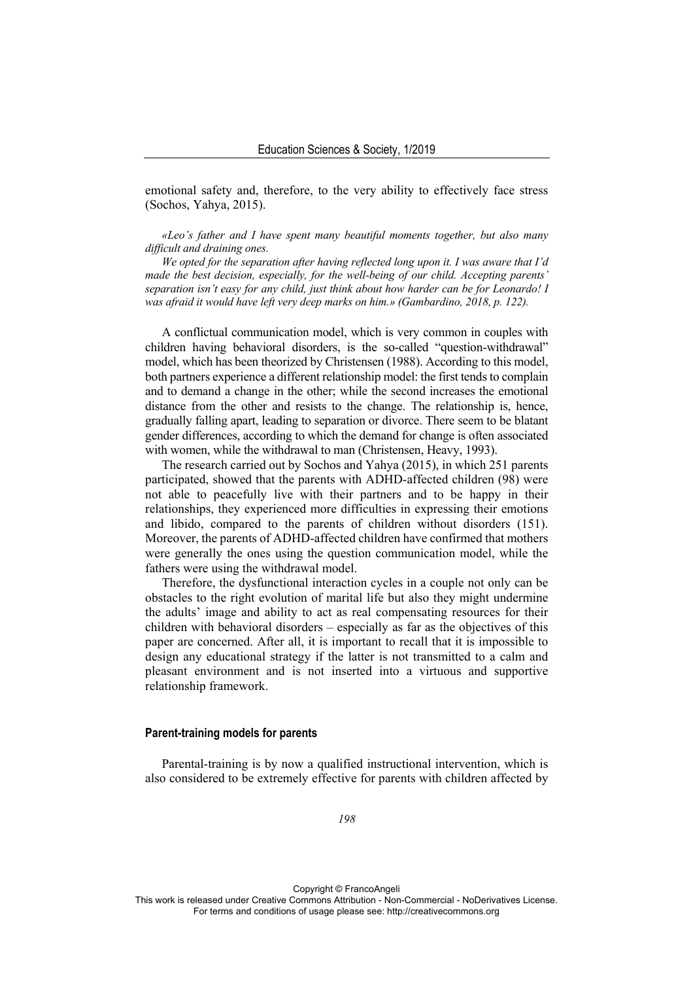emotional safety and, therefore, to the very ability to effectively face stress (Sochos, Yahya, 2015).

*«Leo's father and I have spent many beautiful moments together, but also many difficult and draining ones.* 

*We opted for the separation after having reflected long upon it. I was aware that I'd made the best decision, especially, for the well-being of our child. Accepting parents' separation isn't easy for any child, just think about how harder can be for Leonardo! I*  was afraid it would have left very deep marks on him.» (Gambardino, 2018, p. 122).

A conflictual communication model, which is very common in couples with children having behavioral disorders, is the so-called "question-withdrawal" model, which has been theorized by Christensen (1988). According to this model, both partners experience a different relationship model: the first tends to complain and to demand a change in the other; while the second increases the emotional distance from the other and resists to the change. The relationship is, hence, gradually falling apart, leading to separation or divorce. There seem to be blatant gender differences, according to which the demand for change is often associated with women, while the withdrawal to man (Christensen, Heavy, 1993).

The research carried out by Sochos and Yahya (2015), in which 251 parents participated, showed that the parents with ADHD-affected children (98) were not able to peacefully live with their partners and to be happy in their relationships, they experienced more difficulties in expressing their emotions and libido, compared to the parents of children without disorders (151). Moreover, the parents of ADHD-affected children have confirmed that mothers were generally the ones using the question communication model, while the fathers were using the withdrawal model.

Therefore, the dysfunctional interaction cycles in a couple not only can be obstacles to the right evolution of marital life but also they might undermine the adults' image and ability to act as real compensating resources for their children with behavioral disorders – especially as far as the objectives of this paper are concerned. After all, it is important to recall that it is impossible to design any educational strategy if the latter is not transmitted to a calm and pleasant environment and is not inserted into a virtuous and supportive relationship framework.

## **Parent-training models for parents**

Parental-training is by now a qualified instructional intervention, which is also considered to be extremely effective for parents with children affected by

*198*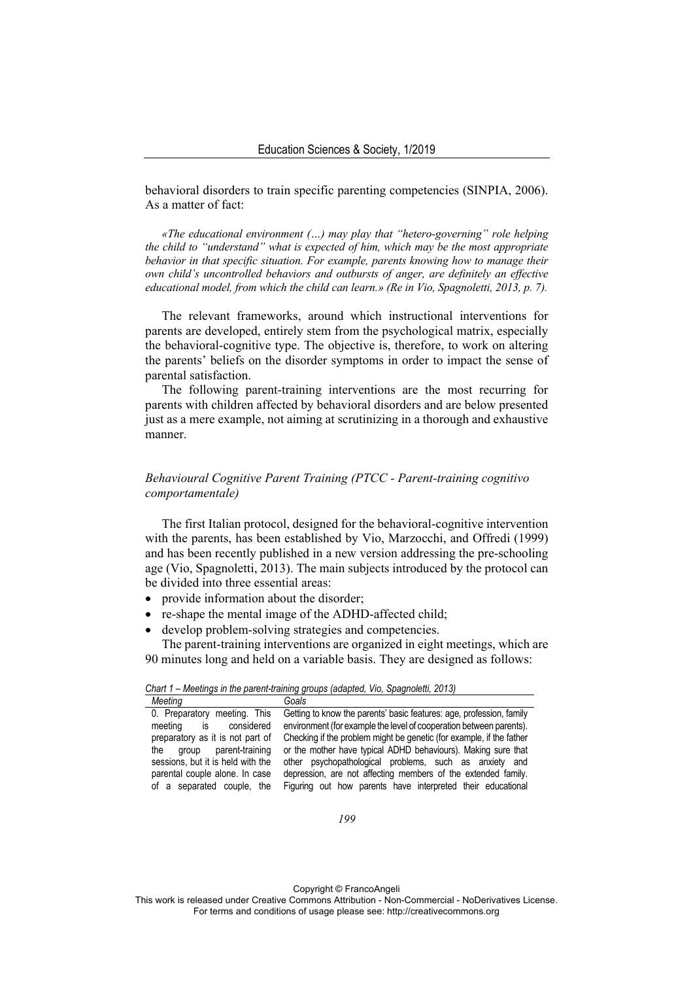behavioral disorders to train specific parenting competencies (SINPIA, 2006). As a matter of fact:

*«The educational environment (…) may play that "hetero-governing" role helping the child to "understand" what is expected of him, which may be the most appropriate behavior in that specific situation. For example, parents knowing how to manage their own child's uncontrolled behaviors and outbursts of anger, are definitely an effective educational model, from which the child can learn.» (Re in Vio, Spagnoletti, 2013, p. 7).* 

The relevant frameworks, around which instructional interventions for parents are developed, entirely stem from the psychological matrix, especially the behavioral-cognitive type. The objective is, therefore, to work on altering the parents' beliefs on the disorder symptoms in order to impact the sense of parental satisfaction.

The following parent-training interventions are the most recurring for parents with children affected by behavioral disorders and are below presented just as a mere example, not aiming at scrutinizing in a thorough and exhaustive manner.

# *Behavioural Cognitive Parent Training (PTCC - Parent-training cognitivo comportamentale)*

The first Italian protocol, designed for the behavioral-cognitive intervention with the parents, has been established by Vio, Marzocchi, and Offredi (1999) and has been recently published in a new version addressing the pre-schooling age (Vio, Spagnoletti, 2013). The main subjects introduced by the protocol can be divided into three essential areas:

- provide information about the disorder;
- re-shape the mental image of the ADHD-affected child;
- develop problem-solving strategies and competencies.

The parent-training interventions are organized in eight meetings, which are 90 minutes long and held on a variable basis. They are designed as follows:

| Chart 1 - Meetings in the parent-training groups (adapted, Vio, Spagnoletti, 2013) |
|------------------------------------------------------------------------------------|
|------------------------------------------------------------------------------------|

| Meeting                                                                                                                                  | Goals                                                                |
|------------------------------------------------------------------------------------------------------------------------------------------|----------------------------------------------------------------------|
| 0. Preparatory meeting. This                                                                                                             | Getting to know the parents' basic features: age, profession, family |
| considered<br>meeting<br>is the set of the set of the set of the set of the set of the set of the set of the set of the set of the set o | environment (for example the level of cooperation between parents).  |
| preparatory as it is not part of                                                                                                         | Checking if the problem might be genetic (for example, if the father |
| the group parent-training                                                                                                                | or the mother have typical ADHD behaviours). Making sure that        |
| sessions, but it is held with the                                                                                                        | other psychopathological problems, such as anxiety and               |
| parental couple alone. In case                                                                                                           | depression, are not affecting members of the extended family.        |
| of a separated couple, the                                                                                                               | Figuring out how parents have interpreted their educational          |

Copyright © FrancoAngeli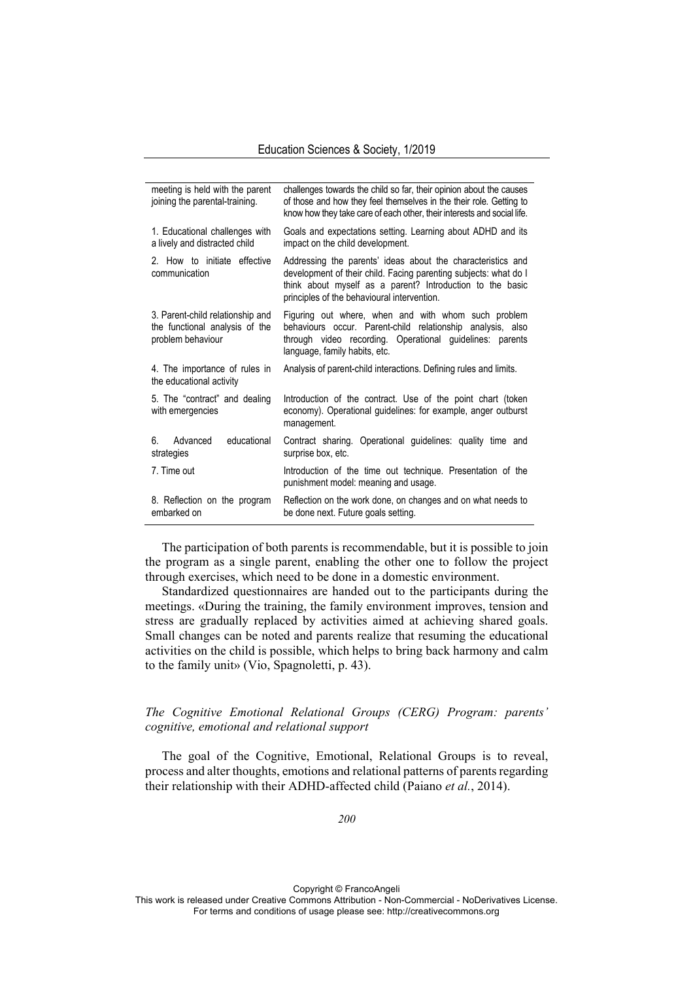| meeting is held with the parent<br>joining the parental-training.                       | challenges towards the child so far, their opinion about the causes<br>of those and how they feel themselves in the their role. Getting to<br>know how they take care of each other, their interests and social life.                       |
|-----------------------------------------------------------------------------------------|---------------------------------------------------------------------------------------------------------------------------------------------------------------------------------------------------------------------------------------------|
| 1. Educational challenges with<br>a lively and distracted child                         | Goals and expectations setting. Learning about ADHD and its<br>impact on the child development.                                                                                                                                             |
| 2. How to initiate effective<br>communication                                           | Addressing the parents' ideas about the characteristics and<br>development of their child. Facing parenting subjects: what do I<br>think about myself as a parent? Introduction to the basic<br>principles of the behavioural intervention. |
| 3. Parent-child relationship and<br>the functional analysis of the<br>problem behaviour | Figuring out where, when and with whom such problem<br>behaviours occur. Parent-child relationship analysis, also<br>through video recording. Operational guidelines: parents<br>language, family habits, etc.                              |
| 4. The importance of rules in<br>the educational activity                               | Analysis of parent-child interactions. Defining rules and limits.                                                                                                                                                                           |
| 5. The "contract" and dealing<br>with emergencies                                       | Introduction of the contract. Use of the point chart (token<br>economy). Operational guidelines: for example, anger outburst<br>management.                                                                                                 |
| Advanced<br>educational<br>6.<br>strategies                                             | Contract sharing. Operational guidelines: quality time and<br>surprise box, etc.                                                                                                                                                            |
| 7. Time out                                                                             | Introduction of the time out technique. Presentation of the<br>punishment model: meaning and usage.                                                                                                                                         |
| 8. Reflection on the program<br>embarked on                                             | Reflection on the work done, on changes and on what needs to<br>be done next. Future goals setting.                                                                                                                                         |

The participation of both parents is recommendable, but it is possible to join the program as a single parent, enabling the other one to follow the project through exercises, which need to be done in a domestic environment.

Standardized questionnaires are handed out to the participants during the meetings. «During the training, the family environment improves, tension and stress are gradually replaced by activities aimed at achieving shared goals. Small changes can be noted and parents realize that resuming the educational activities on the child is possible, which helps to bring back harmony and calm to the family unit» (Vio, Spagnoletti, p. 43).

# *The Cognitive Emotional Relational Groups (CERG) Program: parents' cognitive, emotional and relational support*

The goal of the Cognitive, Emotional, Relational Groups is to reveal, process and alter thoughts, emotions and relational patterns of parents regarding their relationship with their ADHD-affected child (Paiano *et al.*, 2014).

Copyright © FrancoAngeli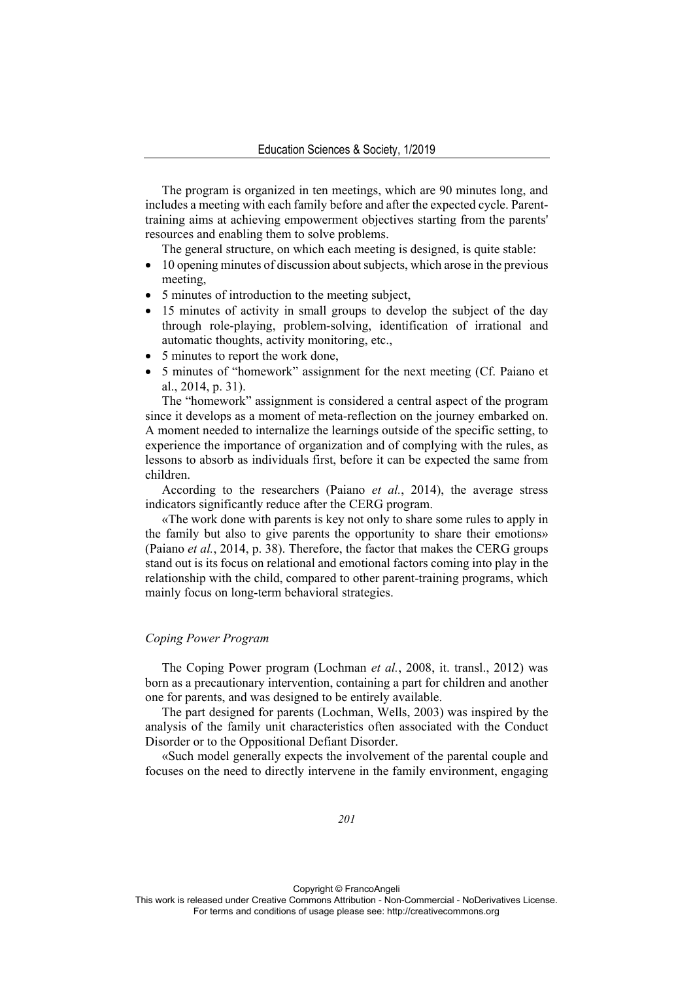The program is organized in ten meetings, which are 90 minutes long, and includes a meeting with each family before and after the expected cycle. Parenttraining aims at achieving empowerment objectives starting from the parents' resources and enabling them to solve problems.

The general structure, on which each meeting is designed, is quite stable:

- 10 opening minutes of discussion about subjects, which arose in the previous meeting,
- 5 minutes of introduction to the meeting subject,
- 15 minutes of activity in small groups to develop the subject of the day through role-playing, problem-solving, identification of irrational and automatic thoughts, activity monitoring, etc.,
- 5 minutes to report the work done,
- 5 minutes of "homework" assignment for the next meeting (Cf. Paiano et al., 2014, p. 31).

The "homework" assignment is considered a central aspect of the program since it develops as a moment of meta-reflection on the journey embarked on. A moment needed to internalize the learnings outside of the specific setting, to experience the importance of organization and of complying with the rules, as lessons to absorb as individuals first, before it can be expected the same from children.

According to the researchers (Paiano *et al.*, 2014), the average stress indicators significantly reduce after the CERG program.

«The work done with parents is key not only to share some rules to apply in the family but also to give parents the opportunity to share their emotions» (Paiano *et al.*, 2014, p. 38). Therefore, the factor that makes the CERG groups stand out is its focus on relational and emotional factors coming into play in the relationship with the child, compared to other parent-training programs, which mainly focus on long-term behavioral strategies.

# *Coping Power Program*

The Coping Power program (Lochman *et al.*, 2008, it. transl., 2012) was born as a precautionary intervention, containing a part for children and another one for parents, and was designed to be entirely available.

The part designed for parents (Lochman, Wells, 2003) was inspired by the analysis of the family unit characteristics often associated with the Conduct Disorder or to the Oppositional Defiant Disorder.

«Such model generally expects the involvement of the parental couple and focuses on the need to directly intervene in the family environment, engaging

Copyright © FrancoAngeli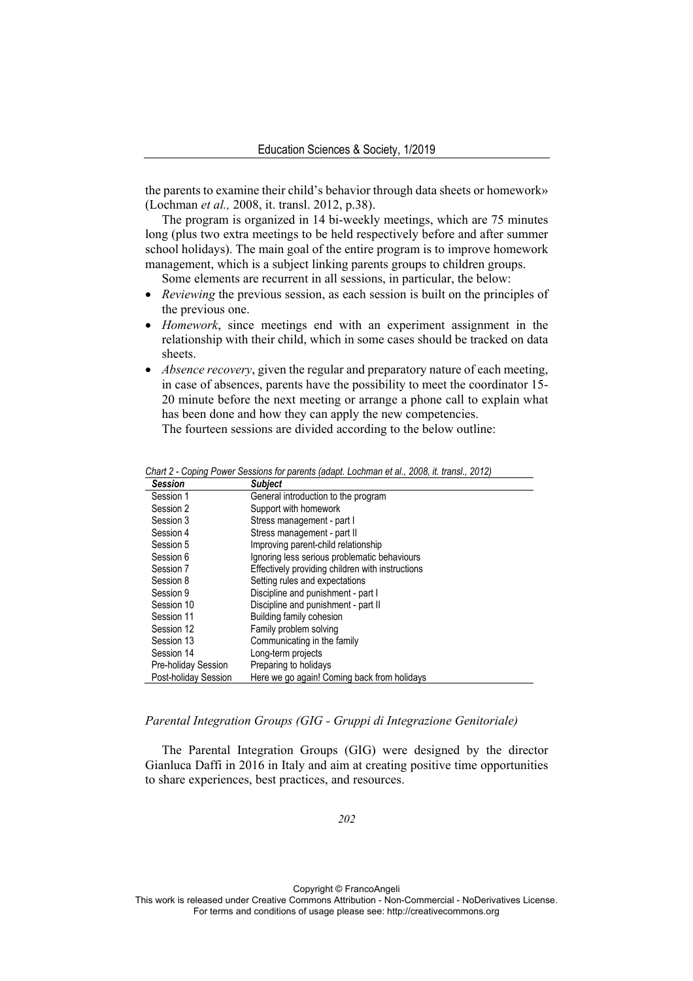the parents to examine their child's behavior through data sheets or homework» (Lochman *et al.,* 2008, it. transl. 2012, p.38).

The program is organized in 14 bi-weekly meetings, which are 75 minutes long (plus two extra meetings to be held respectively before and after summer school holidays). The main goal of the entire program is to improve homework management, which is a subject linking parents groups to children groups.

Some elements are recurrent in all sessions, in particular, the below:

- *Reviewing* the previous session, as each session is built on the principles of the previous one.
- *Homework*, since meetings end with an experiment assignment in the relationship with their child, which in some cases should be tracked on data sheets.
- *Absence recovery*, given the regular and preparatory nature of each meeting, in case of absences, parents have the possibility to meet the coordinator 15- 20 minute before the next meeting or arrange a phone call to explain what has been done and how they can apply the new competencies. The fourteen sessions are divided according to the below outline:

*Chart 2 - Coping Power Sessions for parents (adapt. Lochman et al., 2008, it. transl., 2012) Session Subject* Session 1 General introduction to the program Session 2Support with homework Session 3 Stress management - part I Session 4 Stress management - part II Session 5 Improving parent-child relationship Session 6 Ignoring less serious problematic behaviours Session 7 **Effectively providing children with instructions** Session 8 Setting rules and expectations Session 9 Discipline and punishment - part I Session 10 Discipline and punishment - part II Session 11 Building family cohesion Session 12 Family problem solving Session 13 Communicating in the family Session 14 Long-term projects Pre-holiday Session Preparing to holidays Post-holiday Session Here we go again! Coming back from holidays

## *Parental Integration Groups (GIG - Gruppi di Integrazione Genitoriale)*

The Parental Integration Groups (GIG) were designed by the director Gianluca Daffi in 2016 in Italy and aim at creating positive time opportunities to share experiences, best practices, and resources.

*202*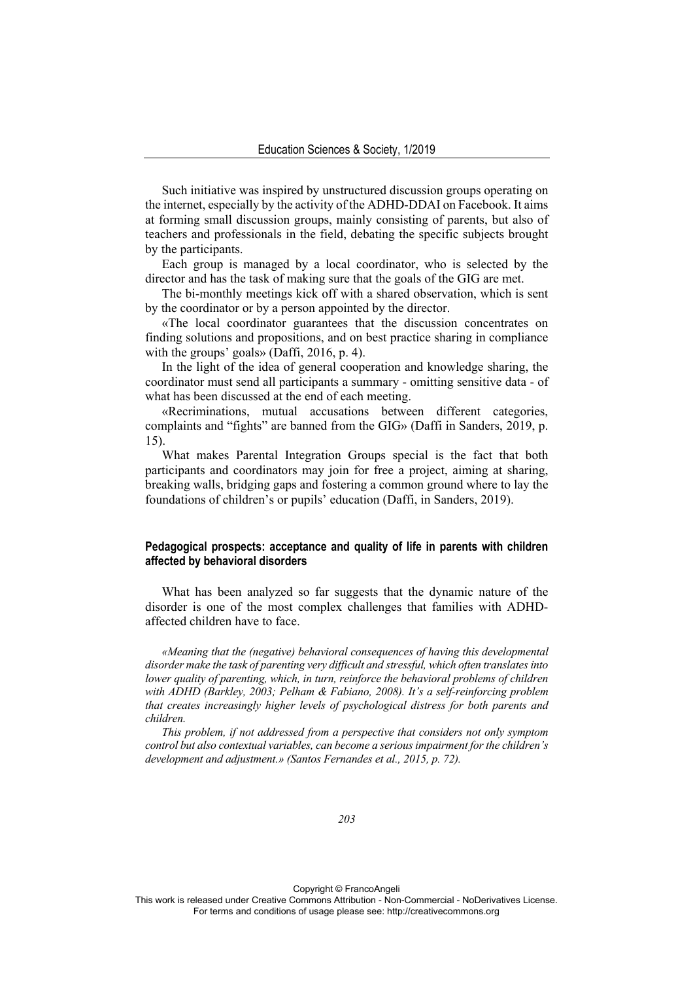Such initiative was inspired by unstructured discussion groups operating on the internet, especially by the activity of the ADHD-DDAI on Facebook. It aims at forming small discussion groups, mainly consisting of parents, but also of teachers and professionals in the field, debating the specific subjects brought by the participants.

Each group is managed by a local coordinator, who is selected by the director and has the task of making sure that the goals of the GIG are met.

The bi-monthly meetings kick off with a shared observation, which is sent by the coordinator or by a person appointed by the director.

«The local coordinator guarantees that the discussion concentrates on finding solutions and propositions, and on best practice sharing in compliance with the groups' goals» (Daffi, 2016, p. 4).

In the light of the idea of general cooperation and knowledge sharing, the coordinator must send all participants a summary - omitting sensitive data - of what has been discussed at the end of each meeting.

«Recriminations, mutual accusations between different categories, complaints and "fights" are banned from the GIG» (Daffi in Sanders, 2019, p. 15).

What makes Parental Integration Groups special is the fact that both participants and coordinators may join for free a project, aiming at sharing, breaking walls, bridging gaps and fostering a common ground where to lay the foundations of children's or pupils' education (Daffi, in Sanders, 2019).

## **Pedagogical prospects: acceptance and quality of life in parents with children affected by behavioral disorders**

What has been analyzed so far suggests that the dynamic nature of the disorder is one of the most complex challenges that families with ADHDaffected children have to face.

*«Meaning that the (negative) behavioral consequences of having this developmental disorder make the task of parenting very difficult and stressful, which often translates into lower quality of parenting, which, in turn, reinforce the behavioral problems of children with ADHD (Barkley, 2003; Pelham & Fabiano, 2008). It's a self-reinforcing problem that creates increasingly higher levels of psychological distress for both parents and children.* 

*This problem, if not addressed from a perspective that considers not only symptom control but also contextual variables, can become a serious impairment for the children's development and adjustment.» (Santos Fernandes et al., 2015, p. 72).* 

Copyright © FrancoAngeli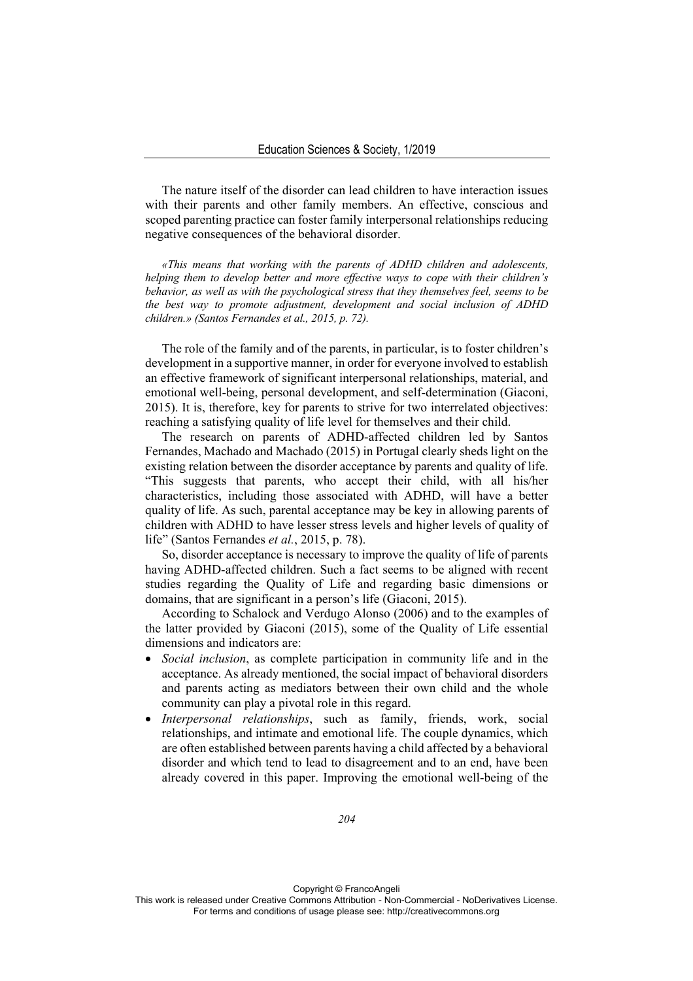The nature itself of the disorder can lead children to have interaction issues with their parents and other family members. An effective, conscious and scoped parenting practice can foster family interpersonal relationships reducing negative consequences of the behavioral disorder.

*«This means that working with the parents of ADHD children and adolescents, helping them to develop better and more effective ways to cope with their children's behavior, as well as with the psychological stress that they themselves feel, seems to be the best way to promote adjustment, development and social inclusion of ADHD children.» (Santos Fernandes et al., 2015, p. 72).* 

The role of the family and of the parents, in particular, is to foster children's development in a supportive manner, in order for everyone involved to establish an effective framework of significant interpersonal relationships, material, and emotional well-being, personal development, and self-determination (Giaconi, 2015). It is, therefore, key for parents to strive for two interrelated objectives: reaching a satisfying quality of life level for themselves and their child.

The research on parents of ADHD-affected children led by Santos Fernandes, Machado and Machado (2015) in Portugal clearly sheds light on the existing relation between the disorder acceptance by parents and quality of life. "This suggests that parents, who accept their child, with all his/her characteristics, including those associated with ADHD, will have a better quality of life. As such, parental acceptance may be key in allowing parents of children with ADHD to have lesser stress levels and higher levels of quality of life" (Santos Fernandes *et al.*, 2015, p. 78).

So, disorder acceptance is necessary to improve the quality of life of parents having ADHD-affected children. Such a fact seems to be aligned with recent studies regarding the Quality of Life and regarding basic dimensions or domains, that are significant in a person's life (Giaconi, 2015).

According to Schalock and Verdugo Alonso (2006) and to the examples of the latter provided by Giaconi (2015), some of the Quality of Life essential dimensions and indicators are:

- *Social inclusion*, as complete participation in community life and in the acceptance. As already mentioned, the social impact of behavioral disorders and parents acting as mediators between their own child and the whole community can play a pivotal role in this regard.
- *Interpersonal relationships*, such as family, friends, work, social relationships, and intimate and emotional life. The couple dynamics, which are often established between parents having a child affected by a behavioral disorder and which tend to lead to disagreement and to an end, have been already covered in this paper. Improving the emotional well-being of the

Copyright © FrancoAngeli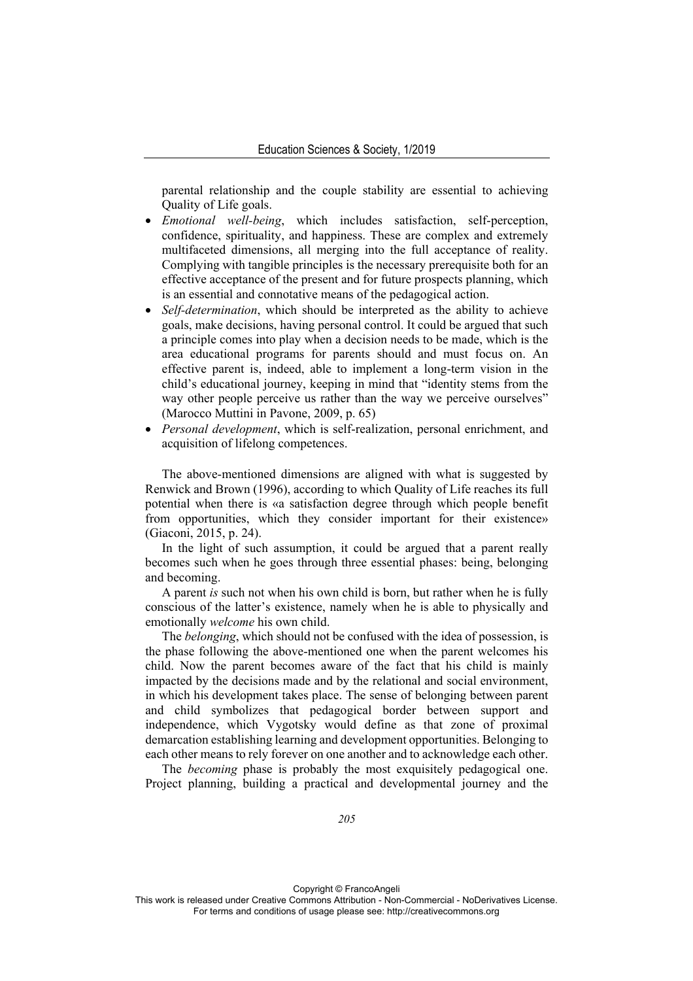parental relationship and the couple stability are essential to achieving Quality of Life goals.

- *Emotional well-being*, which includes satisfaction, self-perception, confidence, spirituality, and happiness. These are complex and extremely multifaceted dimensions, all merging into the full acceptance of reality. Complying with tangible principles is the necessary prerequisite both for an effective acceptance of the present and for future prospects planning, which is an essential and connotative means of the pedagogical action.
- *Self-determination*, which should be interpreted as the ability to achieve goals, make decisions, having personal control. It could be argued that such a principle comes into play when a decision needs to be made, which is the area educational programs for parents should and must focus on. An effective parent is, indeed, able to implement a long-term vision in the child's educational journey, keeping in mind that "identity stems from the way other people perceive us rather than the way we perceive ourselves" (Marocco Muttini in Pavone, 2009, p. 65)
- *Personal development*, which is self-realization, personal enrichment, and acquisition of lifelong competences.

The above-mentioned dimensions are aligned with what is suggested by Renwick and Brown (1996), according to which Quality of Life reaches its full potential when there is «a satisfaction degree through which people benefit from opportunities, which they consider important for their existence» (Giaconi, 2015, p. 24).

In the light of such assumption, it could be argued that a parent really becomes such when he goes through three essential phases: being, belonging and becoming.

A parent *is* such not when his own child is born, but rather when he is fully conscious of the latter's existence, namely when he is able to physically and emotionally *welcome* his own child.

The *belonging*, which should not be confused with the idea of possession, is the phase following the above-mentioned one when the parent welcomes his child. Now the parent becomes aware of the fact that his child is mainly impacted by the decisions made and by the relational and social environment, in which his development takes place. The sense of belonging between parent and child symbolizes that pedagogical border between support and independence, which Vygotsky would define as that zone of proximal demarcation establishing learning and development opportunities. Belonging to each other means to rely forever on one another and to acknowledge each other.

The *becoming* phase is probably the most exquisitely pedagogical one. Project planning, building a practical and developmental journey and the

Copyright © FrancoAngeli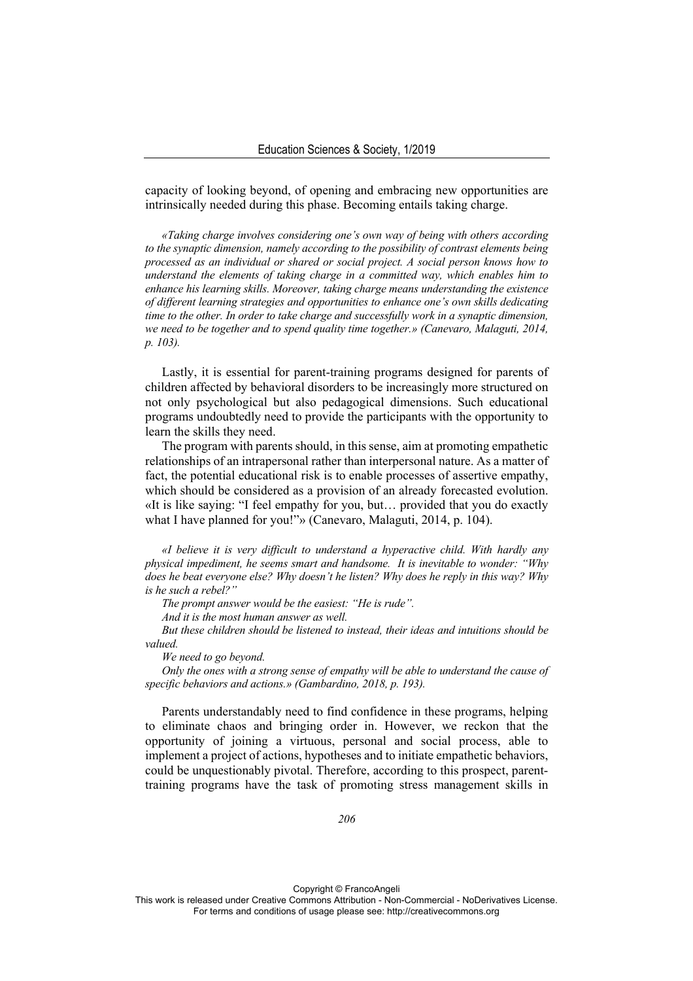capacity of looking beyond, of opening and embracing new opportunities are intrinsically needed during this phase. Becoming entails taking charge.

*«Taking charge involves considering one's own way of being with others according to the synaptic dimension, namely according to the possibility of contrast elements being processed as an individual or shared or social project. A social person knows how to understand the elements of taking charge in a committed way, which enables him to enhance his learning skills. Moreover, taking charge means understanding the existence of different learning strategies and opportunities to enhance one's own skills dedicating time to the other. In order to take charge and successfully work in a synaptic dimension, we need to be together and to spend quality time together.» (Canevaro, Malaguti, 2014, p. 103).* 

Lastly, it is essential for parent-training programs designed for parents of children affected by behavioral disorders to be increasingly more structured on not only psychological but also pedagogical dimensions. Such educational programs undoubtedly need to provide the participants with the opportunity to learn the skills they need.

The program with parents should, in this sense, aim at promoting empathetic relationships of an intrapersonal rather than interpersonal nature. As a matter of fact, the potential educational risk is to enable processes of assertive empathy, which should be considered as a provision of an already forecasted evolution. «It is like saying: "I feel empathy for you, but… provided that you do exactly what I have planned for you!"» (Canevaro, Malaguti, 2014, p. 104).

*«I believe it is very difficult to understand a hyperactive child. With hardly any physical impediment, he seems smart and handsome. It is inevitable to wonder: "Why does he beat everyone else? Why doesn't he listen? Why does he reply in this way? Why is he such a rebel?"* 

*The prompt answer would be the easiest: "He is rude".* 

*And it is the most human answer as well.* 

*But these children should be listened to instead, their ideas and intuitions should be valued.* 

*We need to go beyond.* 

*Only the ones with a strong sense of empathy will be able to understand the cause of specific behaviors and actions.» (Gambardino, 2018, p. 193).* 

Parents understandably need to find confidence in these programs, helping to eliminate chaos and bringing order in. However, we reckon that the opportunity of joining a virtuous, personal and social process, able to implement a project of actions, hypotheses and to initiate empathetic behaviors, could be unquestionably pivotal. Therefore, according to this prospect, parenttraining programs have the task of promoting stress management skills in

Copyright © FrancoAngeli This work is released under Creative Commons Attribution - Non-Commercial - NoDerivatives License. For terms and conditions of usage please see: http://creativecommons.org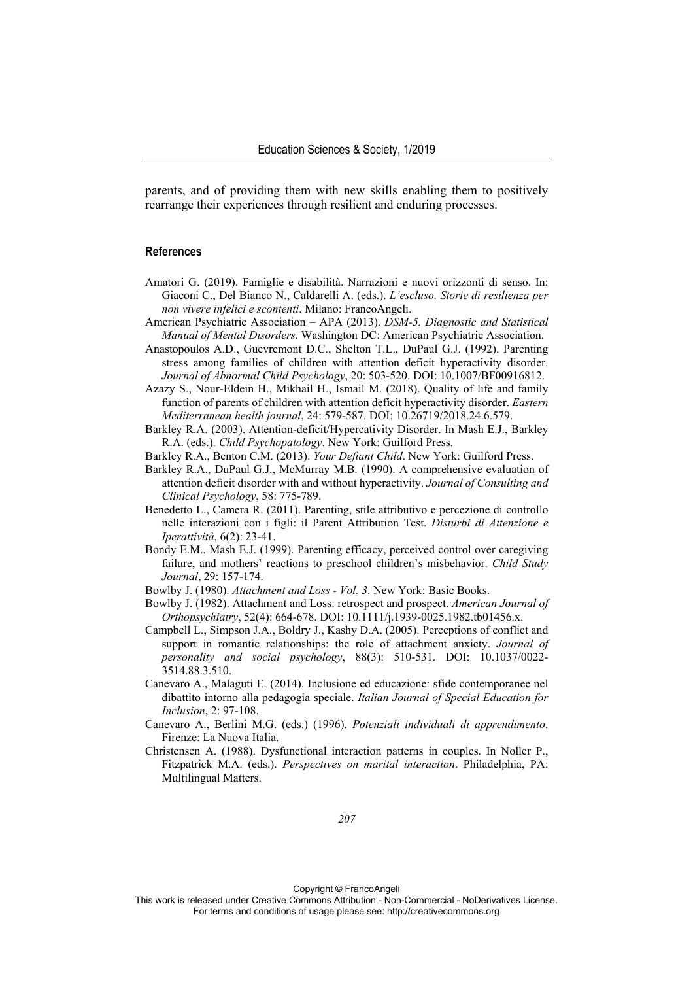parents, and of providing them with new skills enabling them to positively rearrange their experiences through resilient and enduring processes.

#### **References**

- Amatori G. (2019). Famiglie e disabilità. Narrazioni e nuovi orizzonti di senso. In: Giaconi C., Del Bianco N., Caldarelli A. (eds.). *L'escluso. Storie di resilienza per non vivere infelici e scontenti*. Milano: FrancoAngeli.
- American Psychiatric Association APA (2013). *DSM-5. Diagnostic and Statistical Manual of Mental Disorders.* Washington DC: American Psychiatric Association.
- Anastopoulos A.D., Guevremont D.C., Shelton T.L., DuPaul G.J. (1992). Parenting stress among families of children with attention deficit hyperactivity disorder. *Journal of Abnormal Child Psychology*, 20: 503-520. DOI: 10.1007/BF00916812.
- Azazy S., Nour-Eldein H., Mikhail H., Ismail M. (2018). Quality of life and family function of parents of children with attention deficit hyperactivity disorder. *Eastern Mediterranean health journal*, 24: 579-587. DOI: 10.26719/2018.24.6.579.
- Barkley R.A. (2003). Attention-deficit/Hypercativity Disorder. In Mash E.J., Barkley R.A. (eds.). *Child Psychopatology*. New York: Guilford Press.
- Barkley R.A., Benton C.M. (2013). *Your Defiant Child*. New York: Guilford Press.
- Barkley R.A., DuPaul G.J., McMurray M.B. (1990). A comprehensive evaluation of attention deficit disorder with and without hyperactivity. *Journal of Consulting and Clinical Psychology*, 58: 775-789.
- Benedetto L., Camera R. (2011). Parenting, stile attributivo e percezione di controllo nelle interazioni con i figli: il Parent Attribution Test. *Disturbi di Attenzione e Iperattività*, 6(2): 23-41.
- Bondy E.M., Mash E.J. (1999). Parenting efficacy, perceived control over caregiving failure, and mothers' reactions to preschool children's misbehavior. *Child Study Journal*, 29: 157-174.
- Bowlby J. (1980). *Attachment and Loss Vol. 3*. New York: Basic Books.
- Bowlby J. (1982). Attachment and Loss: retrospect and prospect. *American Journal of Orthopsychiatry*, 52(4): 664-678. DOI: 10.1111/j.1939-0025.1982.tb01456.x.
- Campbell L., Simpson J.A., Boldry J., Kashy D.A. (2005). Perceptions of conflict and support in romantic relationships: the role of attachment anxiety. *Journal of personality and social psychology*, 88(3): 510-531. DOI: 10.1037/0022- 3514.88.3.510.
- Canevaro A., Malaguti E. (2014). Inclusione ed educazione: sfide contemporanee nel dibattito intorno alla pedagogia speciale. *Italian Journal of Special Education for Inclusion*, 2: 97-108.
- Canevaro A., Berlini M.G. (eds.) (1996). *Potenziali individuali di apprendimento*. Firenze: La Nuova Italia.
- Christensen A. (1988). Dysfunctional interaction patterns in couples. In Noller P., Fitzpatrick M.A. (eds.). *Perspectives on marital interaction*. Philadelphia, PA: Multilingual Matters.

Copyright © FrancoAngeli

This work is released under Creative Commons Attribution - Non-Commercial - NoDerivatives License. For terms and conditions of usage please see: http://creativecommons.org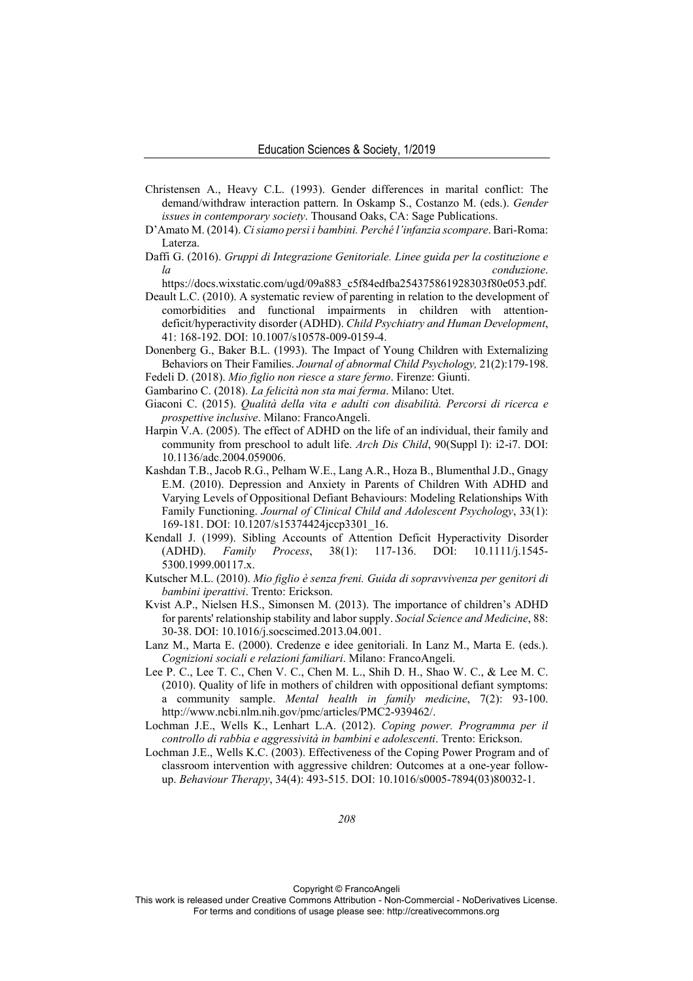- Christensen A., Heavy C.L. (1993). Gender differences in marital conflict: The demand/withdraw interaction pattern. In Oskamp S., Costanzo M. (eds.). *Gender issues in contemporary society*. Thousand Oaks, CA: Sage Publications.
- D'Amato M. (2014). *Ci siamo persi i bambini. Perché l'infanzia scompare*. Bari-Roma: Laterza.
- Daffi G. (2016). *Gruppi di Integrazione Genitoriale. Linee guida per la costituzione e la conduzione*.

https://docs.wixstatic.com/ugd/09a883\_c5f84edfba254375861928303f80e053.pdf.

- Deault L.C. (2010). A systematic review of parenting in relation to the development of comorbidities and functional impairments in children with attentiondeficit/hyperactivity disorder (ADHD). *Child Psychiatry and Human Development*, 41: 168-192. DOI: 10.1007/s10578-009-0159-4.
- Donenberg G., Baker B.L. (1993). The Impact of Young Children with Externalizing Behaviors on Their Families. *Journal of abnormal Child Psychology,* 21(2):179-198. Fedeli D. (2018). *Mio figlio non riesce a stare fermo*. Firenze: Giunti.

Gambarino C. (2018). *La felicità non sta mai ferma*. Milano: Utet.

- Giaconi C. (2015). *Qualità della vita e adulti con disabilità. Percorsi di ricerca e prospettive inclusive*. Milano: FrancoAngeli.
- Harpin V.A. (2005). The effect of ADHD on the life of an individual, their family and community from preschool to adult life. *Arch Dis Child*, 90(Suppl I): i2-i7. DOI: 10.1136/adc.2004.059006.
- Kashdan T.B., Jacob R.G., Pelham W.E., Lang A.R., Hoza B., Blumenthal J.D., Gnagy E.M. (2010). Depression and Anxiety in Parents of Children With ADHD and Varying Levels of Oppositional Defiant Behaviours: Modeling Relationships With Family Functioning. *Journal of Clinical Child and Adolescent Psychology*, 33(1): 169-181. DOI: 10.1207/s15374424jccp3301\_16.
- Kendall J. (1999). Sibling Accounts of Attention Deficit Hyperactivity Disorder (ADHD). *Family Process*, 38(1): 117-136. DOI: 10.1111/j.1545- 5300.1999.00117.x.
- Kutscher M.L. (2010). *Mio figlio è senza freni. Guida di sopravvivenza per genitori di bambini iperattivi*. Trento: Erickson.
- Kvist A.P., Nielsen H.S., Simonsen M. (2013). The importance of children's ADHD for parents' relationship stability and labor supply. *Social Science and Medicine*, 88: 30-38. DOI: 10.1016/j.socscimed.2013.04.001.
- Lanz M., Marta E. (2000). Credenze e idee genitoriali. In Lanz M., Marta E. (eds.). *Cognizioni sociali e relazioni familiari*. Milano: FrancoAngeli.
- Lee P. C., Lee T. C., Chen V. C., Chen M. L., Shih D. H., Shao W. C., & Lee M. C. (2010). Quality of life in mothers of children with oppositional defiant symptoms: a community sample. *Mental health in family medicine*, 7(2): 93-100. http://www.ncbi.nlm.nih.gov/pmc/articles/PMC2-939462/.
- Lochman J.E., Wells K., Lenhart L.A. (2012). *Coping power. Programma per il controllo di rabbia e aggressività in bambini e adolescenti*. Trento: Erickson.
- Lochman J.E., Wells K.C. (2003). Effectiveness of the Coping Power Program and of classroom intervention with aggressive children: Outcomes at a one-year followup. *Behaviour Therapy*, 34(4): 493-515. DOI: 10.1016/s0005-7894(03)80032-1.

*208* 

Copyright © FrancoAngeli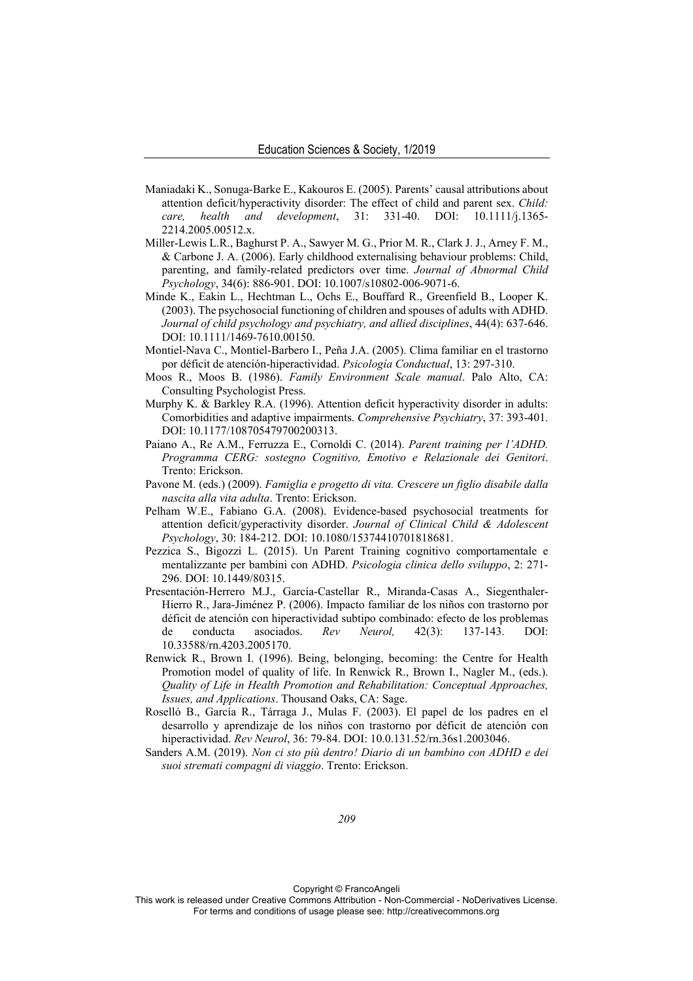- Maniadaki K., Sonuga-Barke E., Kakouros E. (2005). Parents' causal attributions about attention deficit/hyperactivity disorder: The effect of child and parent sex. *Child: care, health and development*, 31: 331-40. DOI: 10.1111/j.1365- 2214.2005.00512.x.
- Miller-Lewis L.R., Baghurst P. A., Sawyer M. G., Prior M. R., Clark J. J., Arney F. M., & Carbone J. A. (2006). Early childhood externalising behaviour problems: Child, parenting, and family-related predictors over time. *Journal of Abnormal Child Psychology*, 34(6): 886-901. DOI: 10.1007/s10802-006-9071-6.
- Minde K., Eakin L., Hechtman L., Ochs E., Bouffard R., Greenfield B., Looper K. (2003). The psychosocial functioning of children and spouses of adults with ADHD. *Journal of child psychology and psychiatry, and allied disciplines*, 44(4): 637-646. DOI: 10.1111/1469-7610.00150.
- Montiel-Nava C., Montiel-Barbero I., Peña J.A. (2005). Clima familiar en el trastorno por déficit de atención-hiperactividad. *Psicología Conductual*, 13: 297-310.
- Moos R., Moos B. (1986). *Family Environment Scale manual*. Palo Alto, CA: Consulting Psychologist Press.
- Murphy K. & Barkley R.A. (1996). Attention deficit hyperactivity disorder in adults: Comorbidities and adaptive impairments. *Comprehensive Psychiatry*, 37: 393-401. DOI: 10.1177/108705479700200313.
- Paiano A., Re A.M., Ferruzza E., Cornoldi C. (2014). *Parent training per l'ADHD. Programma CERG: sostegno Cognitivo, Emotivo e Relazionale dei Genitori*. Trento: Erickson.
- Pavone M. (eds.) (2009). *Famiglia e progetto di vita. Crescere un figlio disabile dalla nascita alla vita adulta*. Trento: Erickson.
- Pelham W.E., Fabiano G.A. (2008). Evidence-based psychosocial treatments for attention deficit/gyperactivity disorder. *Journal of Clinical Child & Adolescent Psychology*, 30: 184-212. DOI: 10.1080/15374410701818681.
- Pezzica S., Bigozzi L. (2015). Un Parent Training cognitivo comportamentale e mentalizzante per bambini con ADHD. *Psicologia clinica dello sviluppo*, 2: 271- 296. DOI: 10.1449/80315.
- Presentación-Herrero M.J., García-Castellar R., Miranda-Casas A., Siegenthaler-Hierro R., Jara-Jiménez P. (2006). Impacto familiar de los niños con trastorno por déficit de atención con hiperactividad subtipo combinado: efecto de los problemas de conducta asociados. *Rev Neurol,* 42(3): 137-143. DOI: 10.33588/rn.4203.2005170.
- Renwick R., Brown I. (1996). Being, belonging, becoming: the Centre for Health Promotion model of quality of life. In Renwick R., Brown I., Nagler M., (eds.). *Quality of Life in Health Promotion and Rehabilitation: Conceptual Approaches, Issues, and Applications*. Thousand Oaks, CA: Sage.
- Roselló B., García R., Tárraga J., Mulas F. (2003). El papel de los padres en el desarrollo y aprendizaje de los niños con trastorno por déficit de atención con hiperactividad. *Rev Neurol*, 36: 79-84. DOI: 10.0.131.52/rn.36s1.2003046.
- Sanders A.M. (2019). *Non ci sto più dentro! Diario di un bambino con ADHD e dei suoi stremati compagni di viaggio*. Trento: Erickson.

Copyright © FrancoAngeli